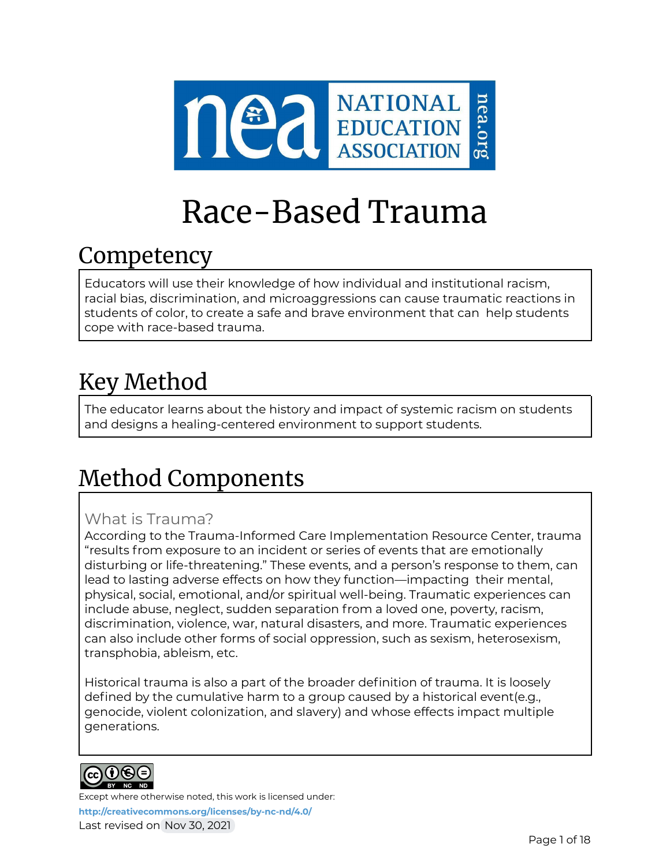

# Race-Based Trauma

# Competency

Educators will use their knowledge of how individual and institutional racism, racial bias, discrimination, and microaggressions can cause traumatic reactions in students of color, to create a safe and brave environment that can help students cope with race-based trauma.

# Key Method

The educator learns about the history and impact of systemic racism on students and designs a healing-centered environment to support students.

# Method Components

## What is Trauma?

According to the Trauma-Informed Care Implementation Resource Center, trauma "results from exposure to an incident or series of events that are emotionally disturbing or life-threatening." These events, and a person's response to them, can lead to lasting adverse effects on how they function—impacting their mental, physical, social, emotional, and/or spiritual well-being. Traumatic experiences can include abuse, neglect, sudden separation from a loved one, poverty, racism, discrimination, violence, war, natural disasters, and more. Traumatic experiences can also include other forms of social oppression, such as sexism, heterosexism, transphobia, ableism, etc.

Historical trauma is also a part of the broader definition of trauma. It is loosely defined by the cumulative harm to a group caused by a historical event(e.g., genocide, violent colonization, and slavery) and whose effects impact multiple generations.

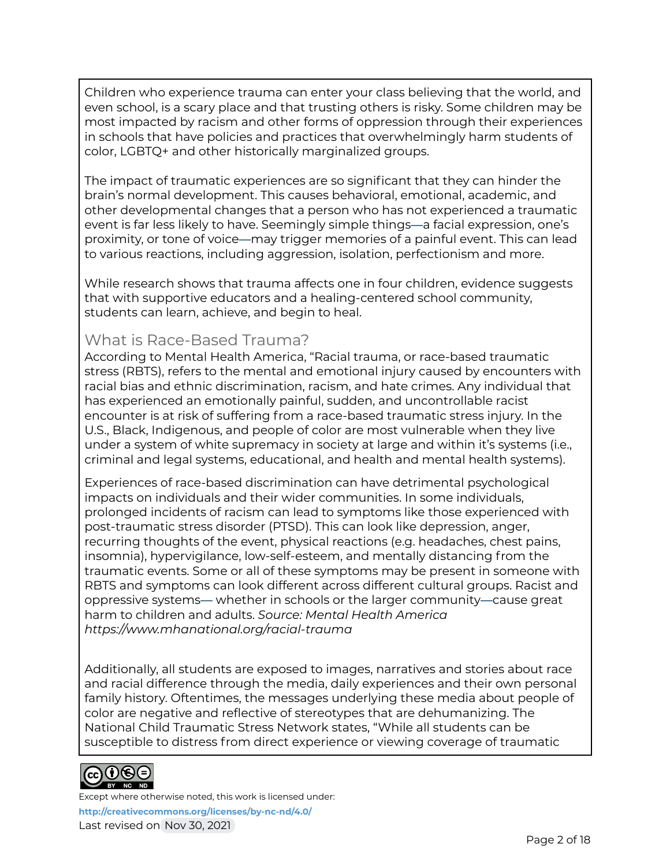Children who experience trauma can enter your class believing that the world, and even school, is a scary place and that trusting others is risky. Some children may be most impacted by racism and other forms of oppression through their experiences in schools that have policies and practices that overwhelmingly harm students of color, LGBTQ+ and other historically marginalized groups.

The impact of traumatic experiences are so significant that they can hinder the brain's normal development. This causes behavioral, emotional, academic, and other developmental changes that a person who has not experienced a traumatic event is far less likely to have. Seemingly simple things—a facial expression, one's proximity, or tone of voice—may trigger memories of a painful event. This can lead to various reactions, including aggression, isolation, perfectionism and more.

While research shows that trauma affects one in four children, evidence suggests that with supportive educators and a healing-centered school community, students can learn, achieve, and begin to heal.

#### What is Race-Based Trauma?

According to Mental Health America, "Racial trauma, or race-based traumatic stress (RBTS), refers to the mental and emotional injury caused by encounters with racial bias and ethnic discrimination, racism, and hate crimes. Any individual that has experienced an emotionally painful, sudden, and uncontrollable racist encounter is at risk of suffering from a race-based traumatic stress injury. In the U.S., Black, Indigenous, and people of color are most vulnerable when they live under a system of white supremacy in society at large and within it's systems (i.e., criminal and legal systems, educational, and health and mental health systems).

Experiences of race-based discrimination can have detrimental psychological impacts on individuals and their wider communities. In some individuals, prolonged incidents of racism can lead to symptoms like those experienced with post-traumatic stress disorder (PTSD). This can look like depression, anger, recurring thoughts of the event, physical reactions (e.g. headaches, chest pains, insomnia), hypervigilance, low-self-esteem, and mentally distancing from the traumatic events. Some or all of these symptoms may be present in someone with RBTS and symptoms can look different across different cultural groups. Racist and oppressive systems— whether in schools or the larger community—cause great harm to children and adults. *Source: Mental Health America https:/ www.mhanational.org/racial-trauma*

Additionally, all students are exposed to images, narratives and stories about race and racial difference through the media, daily experiences and their own personal family history. Oftentimes, the messages underlying these media about people of color are negative and reflective of stereotypes that are dehumanizing. The National Child Traumatic Stress Network states, "While all students can be susceptible to distress from direct experience or viewing coverage of traumatic

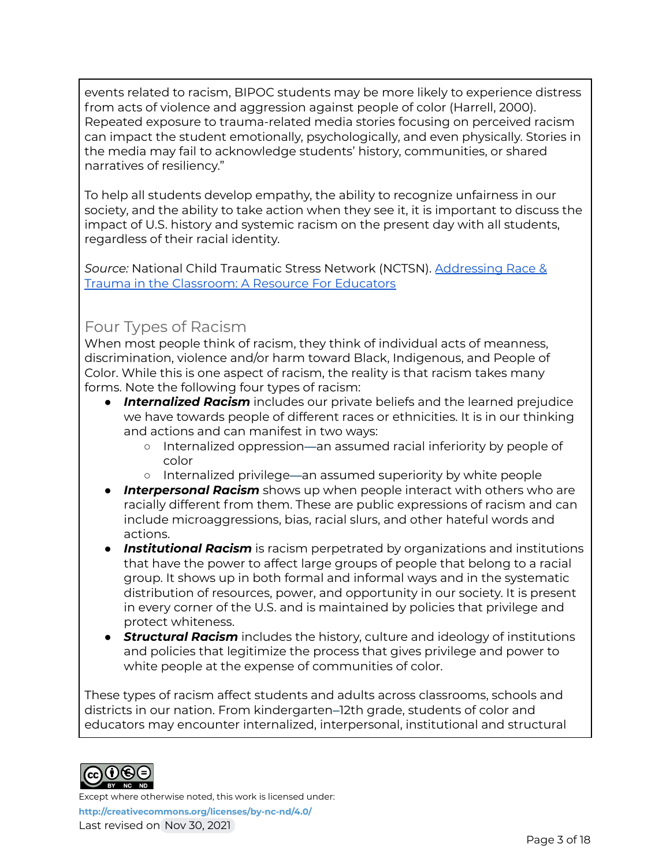events related to racism, BIPOC students may be more likely to experience distress from acts of violence and aggression against people of color (Harrell, 2000). Repeated exposure to trauma-related media stories focusing on perceived racism can impact the student emotionally, psychologically, and even physically. Stories in the media may fail to acknowledge students' history, communities, or shared narratives of resiliency."

To help all students develop empathy, the ability to recognize unfairness in our society, and the ability to take action when they see it, it is important to discuss the impact of U.S. history and systemic racism on the present day with all students, regardless of their racial identity.

*Source:* National Child Traumatic Stress Network (NCTSN). [Addressing](https://www.nctsn.org/sites/default/files/resources/addressing_race_and_trauma_in_the_classroom_educators.pdf) Race & Trauma in the [Classroom:](https://www.nctsn.org/sites/default/files/resources/addressing_race_and_trauma_in_the_classroom_educators.pdf) A Resource For Educators

#### Four Types of Racism

When most people think of racism, they think of individual acts of meanness, discrimination, violence and/or harm toward Black, Indigenous, and People of Color. While this is one aspect of racism, the reality is that racism takes many forms. Note the following four types of racism:

- **Internalized Racism** includes our private beliefs and the learned prejudice we have towards people of different races or ethnicities. It is in our thinking and actions and can manifest in two ways:
	- Internalized oppression—an assumed racial inferiority by people of color
	- Internalized privilege—an assumed superiority by white people
- **Interpersonal Racism** shows up when people interact with others who are racially different from them. These are public expressions of racism and can include microaggressions, bias, racial slurs, and other hateful words and actions.
- **Institutional Racism** is racism perpetrated by organizations and institutions that have the power to affect large groups of people that belong to a racial group. It shows up in both formal and informal ways and in the systematic distribution of resources, power, and opportunity in our society. It is present in every corner of the U.S. and is maintained by policies that privilege and protect whiteness.
- **Structural Racism** includes the history, culture and ideology of institutions and policies that legitimize the process that gives privilege and power to white people at the expense of communities of color.

These types of racism affect students and adults across classrooms, schools and districts in our nation. From kindergarten–12th grade, students of color and educators may encounter internalized, interpersonal, institutional and structural

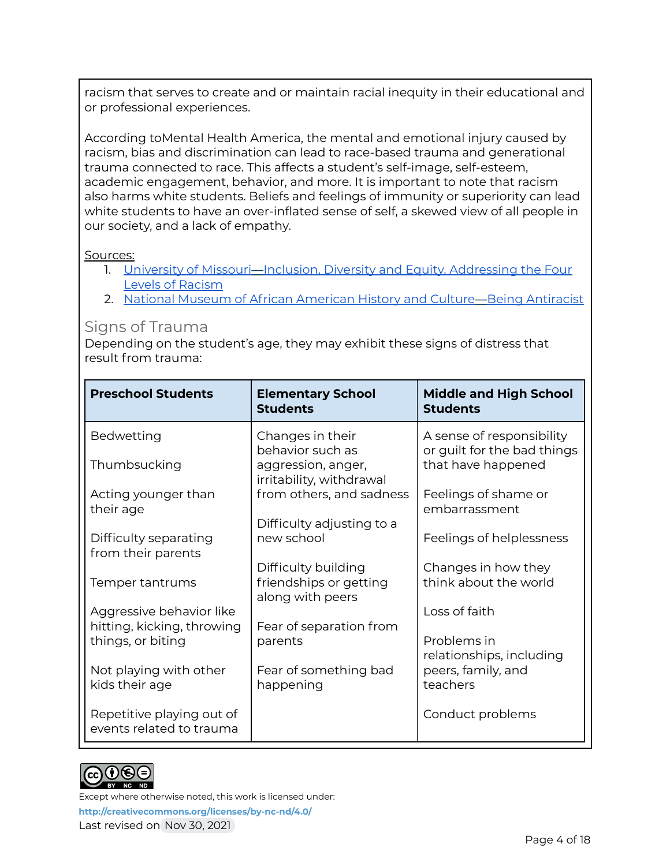racism that serves to create and or maintain racial inequity in their educational and or professional experiences.

According toMental Health America, the mental and emotional injury caused by racism, bias and discrimination can lead to race-based trauma and generational trauma connected to race. This affects a student's self-image, self-esteem, academic engagement, behavior, and more. It is important to note that racism also harms white students. Beliefs and feelings of immunity or superiority can lead white students to have an over-inflated sense of self, a skewed view of all people in our society, and a lack of empathy.

#### Sources:

- 1. University of Missouri-Inclusion, Diversity and Equity. [Addressing](https://diversity.missouri.edu/education-development/self-guided-curriculum-race-racism-and-the-american-experience/day-6-addressing-the-four-levels-of-racism-internalized-racism-within-the-individual/) the Four Levels of [Racism](https://diversity.missouri.edu/education-development/self-guided-curriculum-race-racism-and-the-american-experience/day-6-addressing-the-four-levels-of-racism-internalized-racism-within-the-individual/)
- 2. National Museum of African [American](https://nmaahc.si.edu/learn/talking-about-race/topics/being-antiracist) History and Culture-Being Antiracist

#### Signs of Trauma

Depending on the student's age, they may exhibit these signs of distress that result from trauma:

| <b>Preschool Students</b>                             | <b>Elementary School</b><br><b>Students</b>                       | <b>Middle and High School</b><br><b>Students</b>         |
|-------------------------------------------------------|-------------------------------------------------------------------|----------------------------------------------------------|
| Bedwetting                                            | Changes in their<br>behavior such as                              | A sense of responsibility<br>or guilt for the bad things |
| Thumbsucking                                          | aggression, anger,<br>irritability, withdrawal                    | that have happened                                       |
| Acting younger than<br>their age                      | from others, and sadness                                          | Feelings of shame or<br>embarrassment                    |
| Difficulty separating<br>from their parents           | Difficulty adjusting to a<br>new school                           | Feelings of helplessness                                 |
| Temper tantrums                                       | Difficulty building<br>friendships or getting<br>along with peers | Changes in how they<br>think about the world             |
| Aggressive behavior like                              |                                                                   | Loss of faith                                            |
| hitting, kicking, throwing<br>things, or biting       | Fear of separation from<br>parents                                | Problems in<br>relationships, including                  |
| Not playing with other<br>kids their age              | Fear of something bad<br>happening                                | peers, family, and<br>teachers                           |
| Repetitive playing out of<br>events related to trauma |                                                                   | Conduct problems                                         |

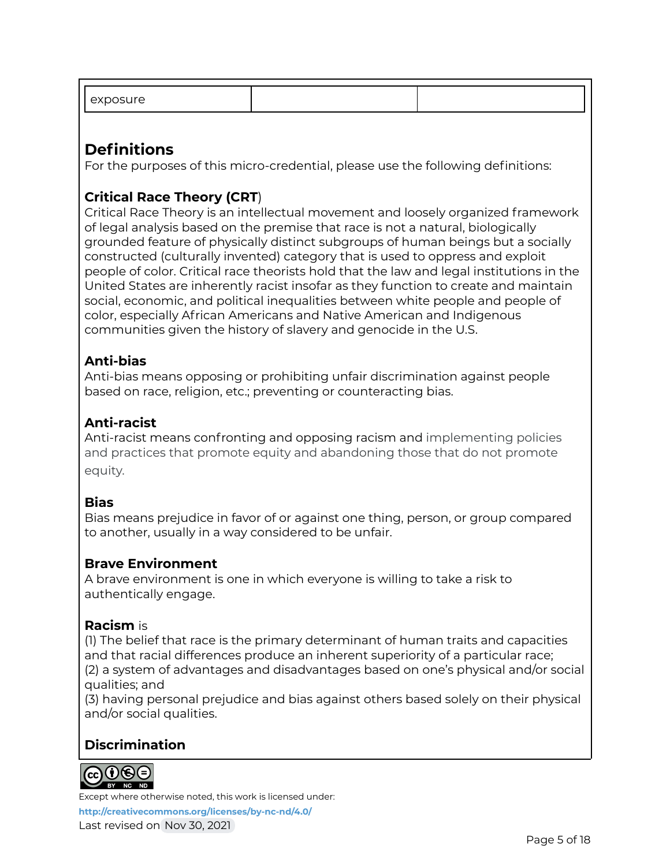| .<br>J. |  |
|---------|--|
|         |  |

# **Definitions**

For the purposes of this micro-credential, please use the following definitions:

### **Critical Race Theory (CRT**)

Critical Race Theory is an intellectual movement and loosely organized framework of legal analysis based on the premise that race is not a natural, biologically grounded feature of physically distinct subgroups of human beings but a socially constructed (culturally invented) category that is used to oppress and exploit people of color. Critical race theorists hold that the law and legal institutions in the United States are inherently racist insofar as they function to create and maintain social, economic, and political inequalities between white people and people of color, especially African Americans and Native American and Indigenous communities given the history of slavery and genocide in the U.S.

#### **Anti-bias**

Anti-bias means opposing or prohibiting unfair discrimination against people based on race, religion, etc.; preventing or counteracting bias.

#### **Anti-racist**

Anti-racist means confronting and opposing racism and implementing policies and practices that promote equity and abandoning those that do not promote equity.

#### **Bias**

Bias means prejudice in favor of or against one thing, person, or group compared to another, usually in a way considered to be unfair.

#### **Brave Environment**

A brave environment is one in which everyone is willing to take a risk to authentically engage.

#### **Racism** is

(1) The belief that race is the primary determinant of human traits and capacities and that racial differences produce an inherent superiority of a particular race; (2) a system of advantages and disadvantages based on one's physical and/or social qualities; and

(3) having personal prejudice and bias against others based solely on their physical and/or social qualities.

#### **Discrimination**



Except where otherwise noted, this work is licensed under: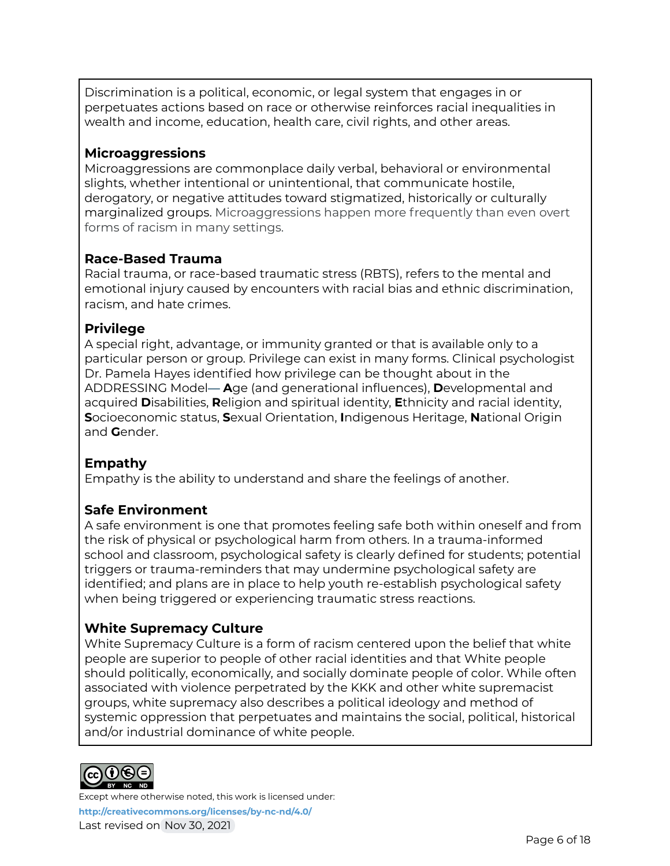Discrimination is a political, economic, or legal system that engages in or perpetuates actions based on race or otherwise reinforces racial inequalities in wealth and income, education, health care, civil rights, and other areas.

#### **Microaggressions**

Microaggressions are commonplace daily verbal, behavioral or environmental slights, whether intentional or unintentional, that communicate hostile, derogatory, or negative attitudes toward stigmatized, historically or culturally marginalized groups. Microaggressions happen more frequently than even overt forms of racism in many settings.

#### **Race-Based Trauma**

Racial trauma, or race-based traumatic stress (RBTS), refers to the mental and emotional injury caused by encounters with racial bias and ethnic discrimination, racism, and hate crimes.

#### **Privilege**

A special right, advantage, or immunity granted or that is available only to a particular person or group. Privilege can exist in many forms. Clinical psychologist Dr. Pamela Hayes identified how privilege can be thought about in the ADDRESSING Model— **A**ge (and generational influences), **D**evelopmental and acquired **D**isabilities, **R**eligion and spiritual identity, **E**thnicity and racial identity, **S**ocioeconomic status, **S**exual Orientation, **I**ndigenous Heritage, **N**ational Origin and **G**ender.

#### **Empathy**

Empathy is the ability to understand and share the feelings of another.

#### **Safe Environment**

A safe environment is one that promotes feeling safe both within oneself and from the risk of physical or psychological harm from others. In a trauma-informed school and classroom, psychological safety is clearly defined for students; potential triggers or trauma-reminders that may undermine psychological safety are identified; and plans are in place to help youth re-establish psychological safety when being triggered or experiencing traumatic stress reactions.

#### **White Supremacy Culture**

White Supremacy Culture is a form of racism centered upon the belief that white people are superior to people of other racial identities and that White people should politically, economically, and socially dominate people of color. While often associated with violence perpetrated by the KKK and other white supremacist groups, white supremacy also describes a political ideology and method of systemic oppression that perpetuates and maintains the social, political, historical and/or industrial dominance of white people.

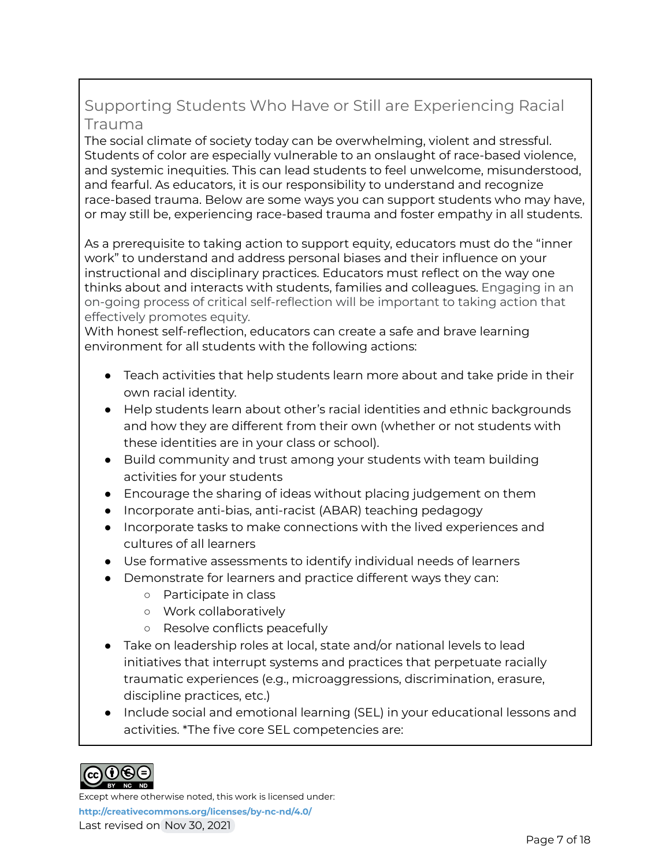## Supporting Students Who Have or Still are Experiencing Racial Trauma

The social climate of society today can be overwhelming, violent and stressful. Students of color are especially vulnerable to an onslaught of race-based violence, and systemic inequities. This can lead students to feel unwelcome, misunderstood, and fearful. As educators, it is our responsibility to understand and recognize race-based trauma. Below are some ways you can support students who may have, or may still be, experiencing race-based trauma and foster empathy in all students.

As a prerequisite to taking action to support equity, educators must do the "inner work" to understand and address personal biases and their influence on your instructional and disciplinary practices. Educators must reflect on the way one thinks about and interacts with students, families and colleagues. Engaging in an on-going process of critical self-reflection will be important to taking action that effectively promotes equity.

With honest self-reflection, educators can create a safe and brave learning environment for all students with the following actions:

- Teach activities that help students learn more about and take pride in their own racial identity.
- Help students learn about other's racial identities and ethnic backgrounds and how they are different from their own (whether or not students with these identities are in your class or school).
- Build community and trust among your students with team building activities for your students
- Encourage the sharing of ideas without placing judgement on them
- Incorporate anti-bias, anti-racist (ABAR) teaching pedagogy
- Incorporate tasks to make connections with the lived experiences and cultures of all learners
- Use formative assessments to identify individual needs of learners
- Demonstrate for learners and practice different ways they can:
	- Participate in class
	- Work collaboratively
	- Resolve conflicts peacefully
- $\bullet$  Take on leadership roles at local, state and/or national levels to lead initiatives that interrupt systems and practices that perpetuate racially traumatic experiences (e.g., microaggressions, discrimination, erasure, discipline practices, etc.)
- Include social and emotional learning (SEL) in your educational lessons and activities. \*The five core SEL competencies are:



Except where otherwise noted, this work is licensed under: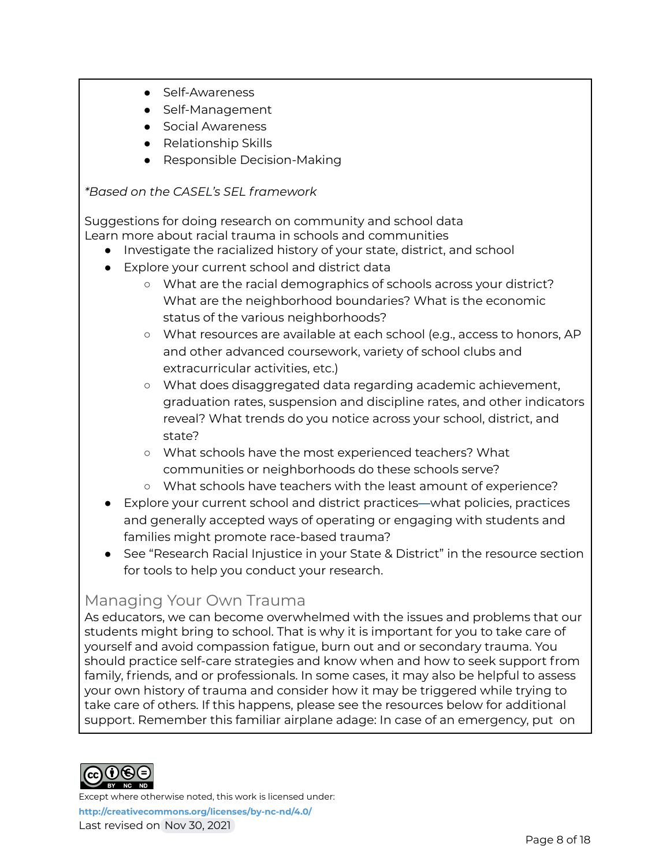- Self-Awareness
- Self-Management
- Social Awareness
- Relationship Skills
- Responsible Decision-Making

#### *\*Based on the CASEL's SEL framework*

Suggestions for doing research on community and school data Learn more about racial trauma in schools and communities

- Investigate the racialized history of your state, district, and school
- Explore your current school and district data
	- What are the racial demographics of schools across your district? What are the neighborhood boundaries? What is the economic status of the various neighborhoods?
	- What resources are available at each school (e.g., access to honors, AP and other advanced coursework, variety of school clubs and extracurricular activities, etc.)
	- What does disaggregated data regarding academic achievement, graduation rates, suspension and discipline rates, and other indicators reveal? What trends do you notice across your school, district, and state?
	- What schools have the most experienced teachers? What communities or neighborhoods do these schools serve?
	- What schools have teachers with the least amount of experience?
- Explore your current school and district practices—what policies, practices and generally accepted ways of operating or engaging with students and families might promote race-based trauma?
- See "Research Racial Injustice in your State & District" in the resource section for tools to help you conduct your research.

### Managing Your Own Trauma

As educators, we can become overwhelmed with the issues and problems that our students might bring to school. That is why it is important for you to take care of yourself and avoid compassion fatigue, burn out and or secondary trauma. You should practice self-care strategies and know when and how to seek support from family, friends, and or professionals. In some cases, it may also be helpful to assess your own history of trauma and consider how it may be triggered while trying to take care of others. If this happens, please see the resources below for additional support. Remember this familiar airplane adage: In case of an emergency, put on

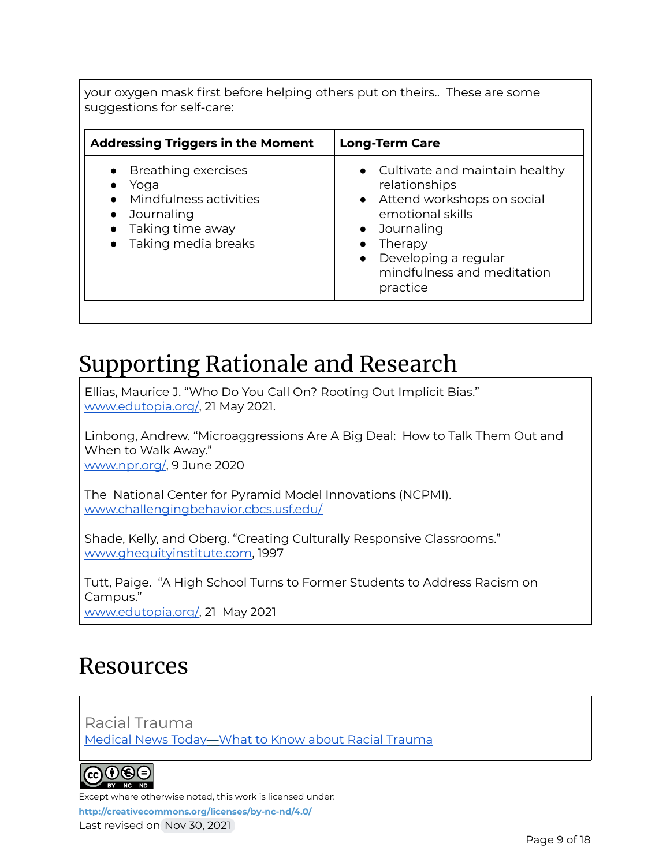your oxygen mask first before helping others put on theirs.. These are some suggestions for self-care:

| <b>Addressing Triggers in the Moment</b>                                                                                          | <b>Long-Term Care</b>                                                                                                                                                                                           |
|-----------------------------------------------------------------------------------------------------------------------------------|-----------------------------------------------------------------------------------------------------------------------------------------------------------------------------------------------------------------|
| • Breathing exercises<br>Yoga<br>• Mindfulness activities<br>Journaling<br>$\bullet$<br>Taking time away<br>• Taking media breaks | • Cultivate and maintain healthy<br>relationships<br>• Attend workshops on social<br>emotional skills<br>• Journaling<br>Therapy<br>Developing a regular<br>$\bullet$<br>mindfulness and meditation<br>practice |

# Supporting Rationale and Research

Ellias, Maurice J. "Who Do You Call On? Rooting Out Implicit Bias." [www.edutopia.org/,](http://www.edutopia.org/) 21 May 2021.

Linbong, Andrew. "Microaggressions Are A Big Deal: How to Talk Them Out and When to Walk Away." [www.npr.org/,](http://www.npr.org/) 9 June 2020

The National Center for Pyramid Model Innovations (NCPMI). [www.challengingbehavior.cbcs.usf.edu/](http://www.challengingbehavior.cbcs.usf.edu/)

Shade, Kelly, and Oberg. "Creating Culturally Responsive Classrooms." [www.ghequityinstitute.com](http://www.ghequityinstitute.com), 1997

Tutt, Paige. "A High School Turns to Former Students to Address Racism on Campus." [www.edutopia.org/,](http://www.edutopia.org/) 21 May 2021

# Resources

Racial Trauma [Medical](https://www.medicalnewstoday.com/articles/racial-trauma#what-it-is) News Today—What to Know about Racial Trauma



Except where otherwise noted, this work is licensed under:

**<http://creativecommons.org/licenses/by-nc-nd/4.0/>**

Last revised on Nov 30, 2021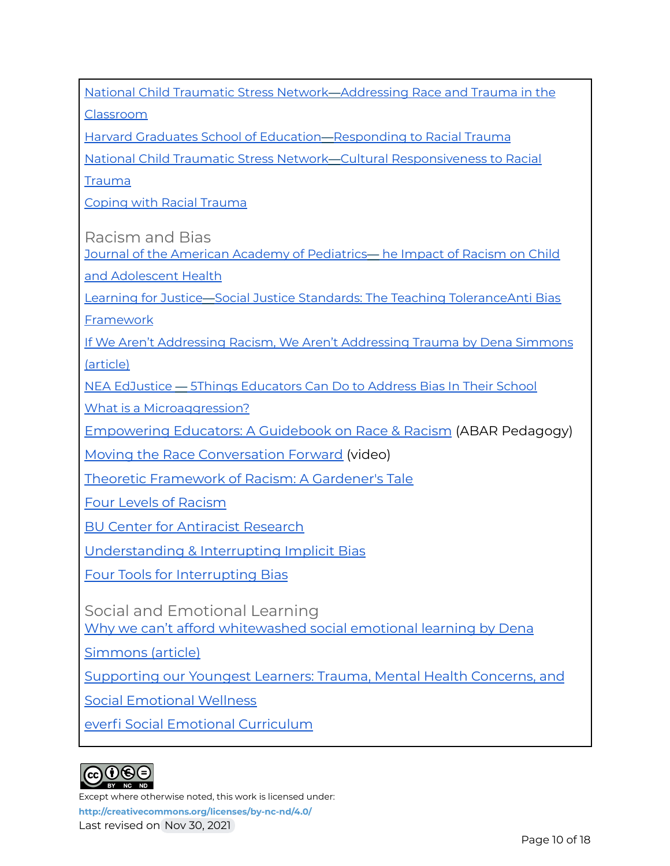National Child Traumatic Stress Network—[Addressing](https://www.nctsn.org/sites/default/files/resources/addressing_race_and_trauma_in_the_classroom_educators.pdf) Race and Trauma in the

[Classroom](https://www.nctsn.org/sites/default/files/resources/addressing_race_and_trauma_in_the_classroom_educators.pdf)

Harvard Graduates School of Education—[Responding](https://www.gse.harvard.edu/uk/blog/responding-racial-trauma) to Racial Trauma

National Child Traumatic Stress Network—Cultural [Responsiveness](https://www.nctsn.org/resources/cultural-responsiveness-to-racial-trauma) to Racial

[Trauma](https://www.nctsn.org/resources/cultural-responsiveness-to-racial-trauma)

Coping with Racial [Trauma](http://www.psychology.uga.edu/coping-racial-trauma)

Racism and Bias

Journal of the American Academy of [Pediatrics](https://pediatrics.aappublications.org/content/144/2/e20191765)— he Impact of Racism on Child and [Adolescent](https://pediatrics.aappublications.org/content/144/2/e20191765) Health

Learning for Justice—Social Justice Standards: The Teaching [ToleranceAnti](https://www.learningforjustice.org/sites/default/files/2020-09/TT-Social-Justice-Standards-Anti-bias-framework-2020.pdf) Bias

[Framework](https://www.learningforjustice.org/sites/default/files/2020-09/TT-Social-Justice-Standards-Anti-bias-framework-2020.pdf)

If We Aren't Addressing Racism, We Aren't [Addressing](https://inservice.ascd.org/if-we-arent-addressing-racism-we-arent-addressing-trauma/) Trauma by Dena Simmons [\(article\)](https://inservice.ascd.org/if-we-arent-addressing-racism-we-arent-addressing-trauma/)

NEA EdJustice — 5Things [Educators](https://neaedjustice.org/2019/10/11/5-things-educators-can-do-to-address-bias-in-their-school/) Can Do to Address Bias In Their School

What is a [Microaggression?](https://www.npr.org/2020/06/08/872371063/microaggressions-are-a-big-deal-how-to-talk-them-out-and-when-to-walk-away)

[Empowering](https://bit.ly/EEGuidebook) Educators: A Guidebook on Race & Racism (ABAR Pedagogy)

Moving the Race [Conversation](https://www.youtube.com/watch?v=LjGQaz1u3V4) Forward (video)

Theoretic [Framework](https://www.health.state.mn.us/communities/practice/resources/equitylibrary/docs/jones-allegories.pdf) of Racism: A Gardener's Tale

Four Levels of [Racism](https://www.cacgrants.org/assets/ce/Documents/2019/FourLevelsOfRacism.pdf)

BU Center for [Antiracist](https://www.bu.edu/antiracism-center) Research

[Understanding](https://www.learnersedge.com/blog/teacher-learning-activity-understanding-interrupting-implicit-bias) & Interrupting Implicit Bias

Four Tools for [Interrupting](https://crtandthebrain.com/four-tools-for-interrupting-implicit-bias/) Bias

Social and Emotional Learning Why we can't afford [whitewashed](http://www.ascd.org/publications/newsletters/education_update/apr19/vol61/num04/Why_We_Can) social emotional learning by Dena

[Simmons](http://www.ascd.org/publications/newsletters/education_update/apr19/vol61/num04/Why_We_Can) (article)

[Supporting](https://youtu.be/ATwKT4MZp48) our Youngest Learners: Trauma, Mental Health Concerns, and

Social [Emotional](https://youtu.be/ATwKT4MZp48) Wellness

everfi Social Emotional [Curriculum](http://https/www.weareteachers.com/everfi-social-emotional-curriculum/)

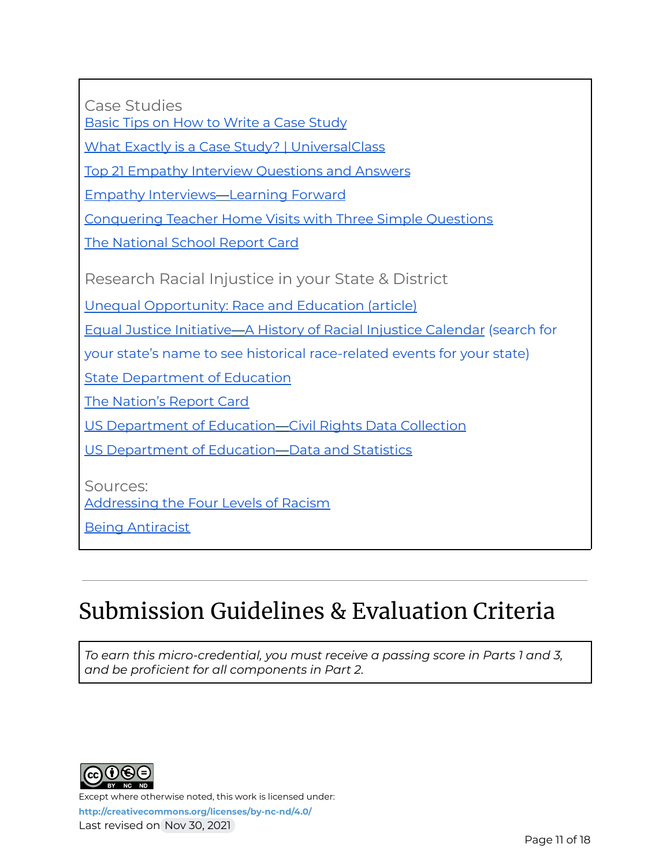Case Studies

Basic Tips on How to Write a Case [Study](https://resilienteducator.com/classroom-resources/how-to-write-a-case-study-the-basics/)

What Exactly is a Case Study? | [UniversalClass](https://www.universalclass.com/articles/special-education/developing-educational-case-studies.htm)

Top 21 Empathy Interview [Questions](https://content.wisestep.com/top-empathy-interview-questions-answers/) and Answers

Empathy [Interviews](https://learningforward.org/wp-content/uploads/2020/10/tool-empathy-interviews.pdf)—Learning Forward

[Conquering](https://theeducatorsroom.com/conquering-teacher-home-visits-three-simple-questions/) Teacher Home Visits with Three Simple Questions

The [National](https://www.nationsreportcard.gov/) School Report Card

Research Racial Injustice in your State & District

Unequal Opportunity: Race and [Education \(article\)](https://www.brookings.edu/articles/unequal-opportunity-race-and-education/)

Equal Justice Initiative—A History of Racial Injustice [Calendar](https://calendar.eji.org/racial-injustice/oct/) (search for

your state's name to see historical race-related events for your state)

State [Department](https://www2.ed.gov/about/contacts/state/index.html) of Education

The [Nation's](https://www.nationsreportcard.gov/) Report Card

US [Department](https://ocrdata.ed.gov/) of Education—Civil Rights Data Collection

US [Department](https://www2.ed.gov/rschstat/landing.jhtml?src=pn) of Education—Data and Statistics

Sources: [Addressing](https://diversity.missouri.edu/education-development/self-guided-curriculum-race-racism-and-the-american-experience/day-6-addressing-the-four-levels-of-racism-internalized-racism-within-the-individual/) the Four Levels of Racism

Being [Antiracist](https://nmaahc.si.edu/learn/talking-about-race/topics/being-antiracist)

# Submission Guidelines & Evaluation Criteria

*To earn this micro-credential, you must receive a passing score in Parts 1 and 3, and be proficient for all components in Part 2.*

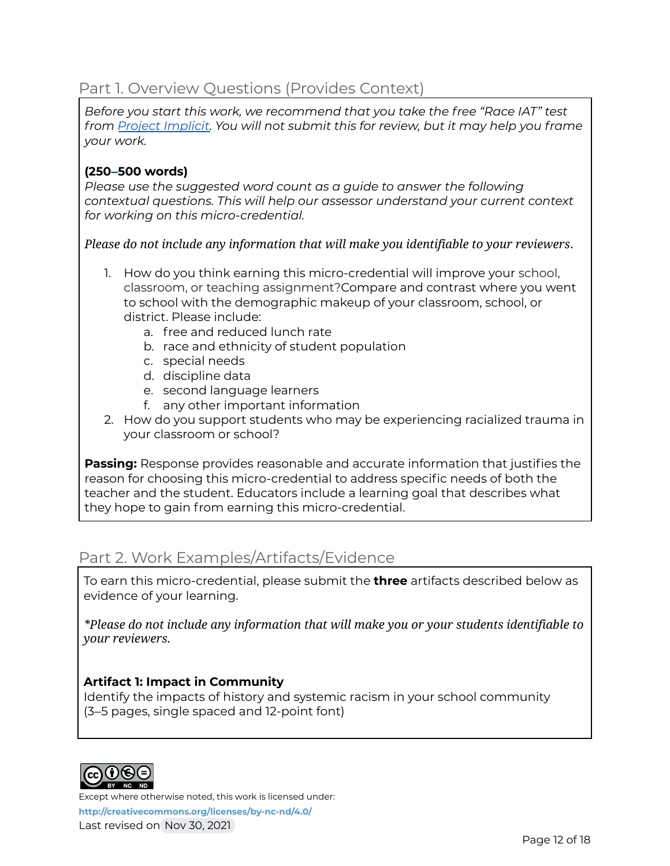### Part 1. Overview Questions (Provides Context)

*Before you start this work, we recommend that you take the free "Race IAT" test from Project [Implicit.](https://www.projectimplicit.net/) You will not submit this for review, but it may help you frame your work.*

#### **(250–500 words)**

*Please use the suggested word count as a guide to answer the following contextual questions. This will help our assessor understand your current context for working on this micro-credential.*

*Please do not include any information that will make you identifiable to your reviewers*.

- 1. How do you think earning this micro-credential will improve your school, classroom, or teaching assignment?Compare and contrast where you went to school with the demographic makeup of your classroom, school, or district. Please include:
	- a. free and reduced lunch rate
	- b. race and ethnicity of student population
	- c. special needs
	- d. discipline data
	- e. second language learners
	- f. any other important information
- 2. How do you support students who may be experiencing racialized trauma in your classroom or school?

**Passing:** Response provides reasonable and accurate information that justifies the reason for choosing this micro-credential to address specific needs of both the teacher and the student. Educators include a learning goal that describes what they hope to gain from earning this micro-credential.

### Part 2. Work Examples/Artifacts/Evidence

To earn this micro-credential, please submit the **three** artifacts described below as evidence of your learning.

*\*Please do not include any information that will make you or your students identifiable to your reviewers.*

#### **Artifact 1: Impact in Community**

Identify the impacts of history and systemic racism in your school community (3–5 pages, single spaced and 12-point font)



Except where otherwise noted, this work is licensed under:

**<http://creativecommons.org/licenses/by-nc-nd/4.0/>** Last revised on Nov 30, 2021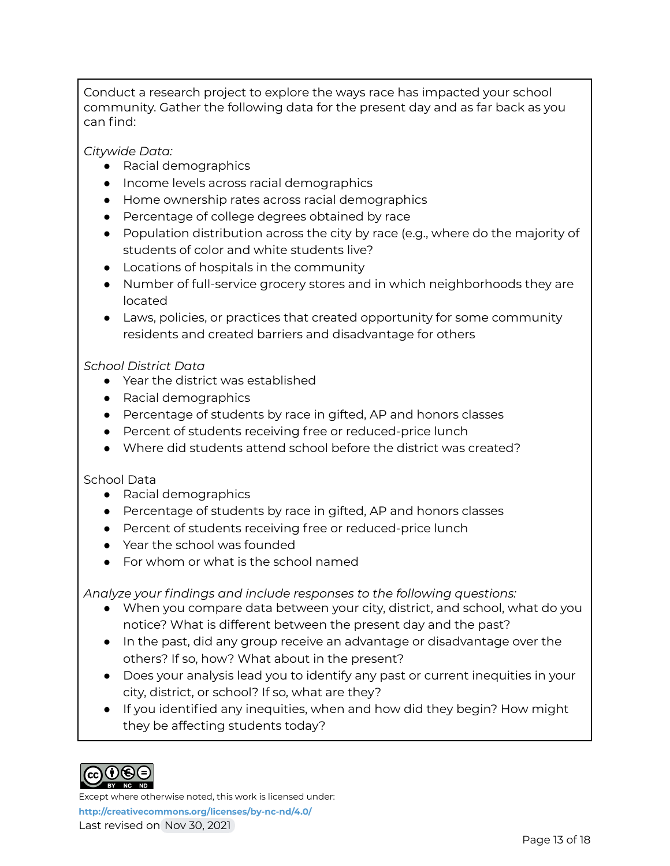Conduct a research project to explore the ways race has impacted your school community. Gather the following data for the present day and as far back as you can find:

*Citywide Data:*

- Racial demographics
- Income levels across racial demographics
- Home ownership rates across racial demographics
- Percentage of college degrees obtained by race
- Population distribution across the city by race (e.g., where do the majority of students of color and white students live?
- Locations of hospitals in the community
- Number of full-service grocery stores and in which neighborhoods they are located
- Laws, policies, or practices that created opportunity for some community residents and created barriers and disadvantage for others

#### *School District Data*

- Year the district was established
- Racial demographics
- Percentage of students by race in gifted, AP and honors classes
- Percent of students receiving free or reduced-price lunch
- Where did students attend school before the district was created?

#### School Data

- Racial demographics
- Percentage of students by race in gifted, AP and honors classes
- Percent of students receiving free or reduced-price lunch
- Year the school was founded
- For whom or what is the school named

*Analyze your findings and include responses to the following questions:*

- When you compare data between your city, district, and school, what do you notice? What is different between the present day and the past?
- In the past, did any group receive an advantage or disadvantage over the others? If so, how? What about in the present?
- Does your analysis lead you to identify any past or current inequities in your city, district, or school? If so, what are they?
- If you identified any inequities, when and how did they begin? How might they be affecting students today?



Except where otherwise noted, this work is licensed under: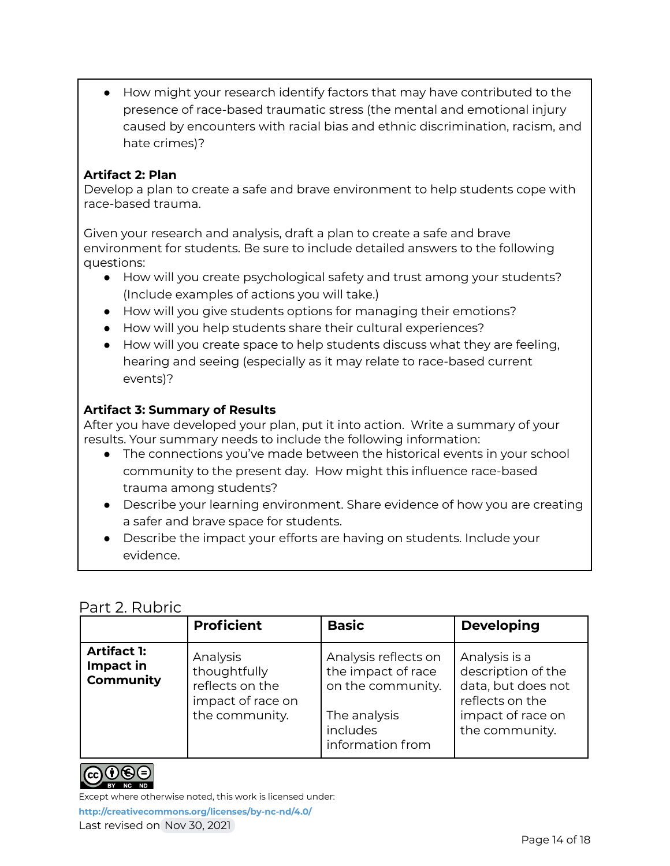● How might your research identify factors that may have contributed to the presence of race-based traumatic stress (the mental and emotional injury caused by encounters with racial bias and ethnic discrimination, racism, and hate crimes)?

#### **Artifact 2: Plan**

Develop a plan to create a safe and brave environment to help students cope with race-based trauma.

Given your research and analysis, draft a plan to create a safe and brave environment for students. Be sure to include detailed answers to the following questions:

- How will you create psychological safety and trust among your students? (Include examples of actions you will take.)
- How will you give students options for managing their emotions?
- How will you help students share their cultural experiences?
- How will you create space to help students discuss what they are feeling, hearing and seeing (especially as it may relate to race-based current events)?

#### **Artifact 3: Summary of Results**

After you have developed your plan, put it into action. Write a summary of your results. Your summary needs to include the following information:

- The connections you've made between the historical events in your school community to the present day. How might this influence race-based trauma among students?
- Describe your learning environment. Share evidence of how you are creating a safer and brave space for students.
- Describe the impact your efforts are having on students. Include your evidence.

### Part 2. Rubric

|                                                     | <b>Proficient</b>                                                                  | <b>Basic</b>                                                                                                    | <b>Developing</b>                                                                                                   |
|-----------------------------------------------------|------------------------------------------------------------------------------------|-----------------------------------------------------------------------------------------------------------------|---------------------------------------------------------------------------------------------------------------------|
| <b>Artifact 1:</b><br>Impact in<br><b>Community</b> | Analysis<br>thoughtfully<br>reflects on the<br>impact of race on<br>the community. | Analysis reflects on<br>the impact of race<br>on the community.<br>The analysis<br>includes<br>information from | Analysis is a<br>description of the<br>data, but does not<br>reflects on the<br>impact of race on<br>the community. |



Except where otherwise noted, this work is licensed under:

**<http://creativecommons.org/licenses/by-nc-nd/4.0/>**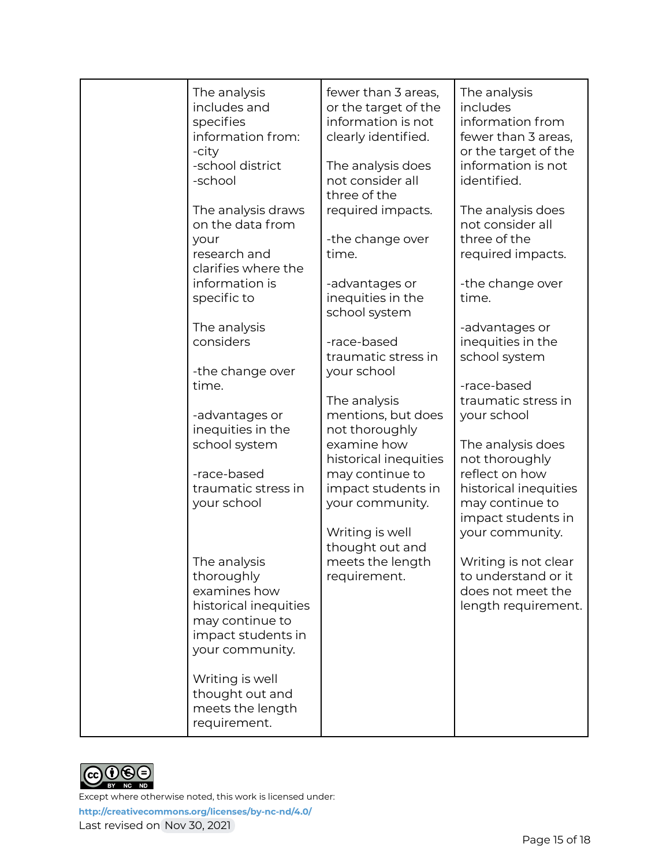| The analysis<br>includes and<br>specifies<br>information from:<br>-city<br>-school district<br>-school                          | fewer than 3 areas,<br>or the target of the<br>information is not<br>clearly identified.<br>The analysis does<br>not consider all<br>three of the | The analysis<br>includes<br>information from<br>fewer than 3 areas,<br>or the target of the<br>information is not<br>identified. |
|---------------------------------------------------------------------------------------------------------------------------------|---------------------------------------------------------------------------------------------------------------------------------------------------|----------------------------------------------------------------------------------------------------------------------------------|
| The analysis draws<br>on the data from<br>your<br>research and<br>clarifies where the                                           | required impacts.<br>-the change over<br>time.                                                                                                    | The analysis does<br>not consider all<br>three of the<br>required impacts.                                                       |
| information is<br>specific to                                                                                                   | -advantages or<br>inequities in the<br>school system                                                                                              | -the change over<br>time.                                                                                                        |
| The analysis<br>considers                                                                                                       | -race-based<br>traumatic stress in                                                                                                                | -advantages or<br>inequities in the<br>school system                                                                             |
| -the change over<br>time.                                                                                                       | your school<br>The analysis                                                                                                                       | -race-based<br>traumatic stress in                                                                                               |
| -advantages or<br>inequities in the<br>school system                                                                            | mentions, but does<br>not thoroughly<br>examine how                                                                                               | your school<br>The analysis does                                                                                                 |
| -race-based<br>traumatic stress in<br>your school                                                                               | historical inequities<br>may continue to<br>impact students in<br>your community.                                                                 | not thoroughly<br>reflect on how<br>historical inequities<br>may continue to<br>impact students in                               |
|                                                                                                                                 | Writing is well<br>thought out and                                                                                                                | your community.                                                                                                                  |
| The analysis<br>thoroughly<br>examines how<br>historical inequities<br>may continue to<br>impact students in<br>your community. | meets the length<br>requirement.                                                                                                                  | Writing is not clear<br>to understand or it<br>does not meet the<br>length requirement.                                          |
| Writing is well<br>thought out and<br>meets the length<br>requirement.                                                          |                                                                                                                                                   |                                                                                                                                  |

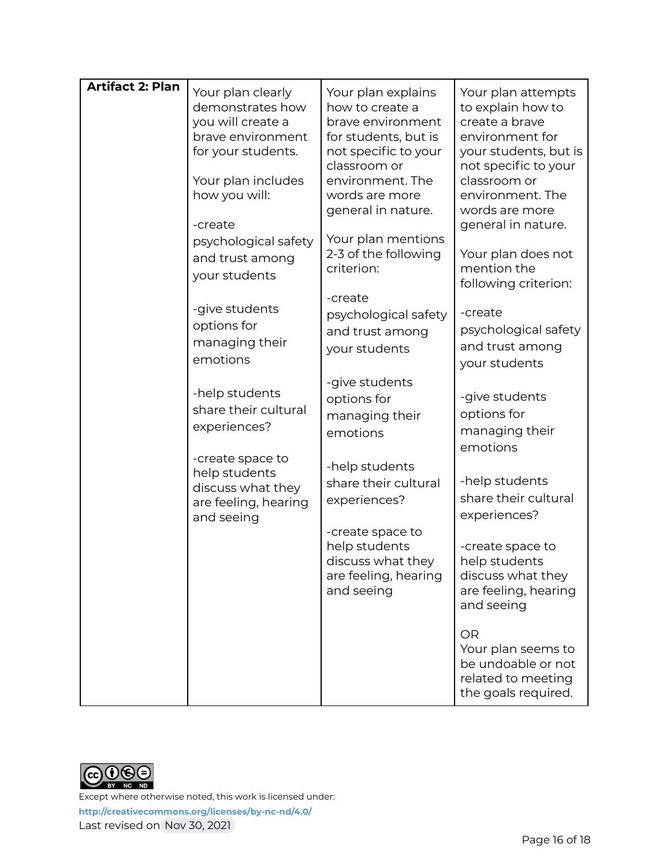| <b>Artifact 2: Plan</b> | Your plan clearly<br>demonstrates how<br>you will create a<br>brave environment<br>for your students. | Your plan explains<br>how to create a<br>brave environment<br>for students, but is<br>not specific to your<br>classroom or | Your plan attempts<br>to explain how to<br>create a brave<br>environment for<br>your students, but is<br>not specific to your |
|-------------------------|-------------------------------------------------------------------------------------------------------|----------------------------------------------------------------------------------------------------------------------------|-------------------------------------------------------------------------------------------------------------------------------|
|                         | Your plan includes<br>how you will:<br>-create                                                        | environment. The<br>words are more<br>general in nature.                                                                   | classroom or<br>environment. The<br>words are more<br>general in nature.                                                      |
|                         | psychological safety<br>and trust among<br>your students                                              | Your plan mentions<br>2-3 of the following<br>criterion:                                                                   | Your plan does not<br>mention the<br>following criterion:                                                                     |
|                         | -give students<br>options for<br>managing their<br>emotions                                           | -create<br>psychological safety<br>and trust among<br>your students                                                        | -create<br>psychological safety<br>and trust among<br>your students                                                           |
|                         | -help students<br>share their cultural<br>experiences?                                                | -give students<br>options for<br>managing their<br>emotions                                                                | -give students<br>options for<br>managing their<br>emotions                                                                   |
|                         | -create space to<br>help students<br>discuss what they<br>are feeling, hearing<br>and seeing          | -help students<br>share their cultural<br>experiences?                                                                     | -help students<br>share their cultural<br>experiences?                                                                        |
|                         |                                                                                                       | -create space to<br>help students<br>discuss what they<br>are feeling, hearing<br>and seeing                               | -create space to<br>help students<br>discuss what they<br>are feeling, hearing<br>and seeing                                  |
|                         |                                                                                                       |                                                                                                                            | OR<br>Your plan seems to<br>be undoable or not<br>related to meeting<br>the goals required.                                   |

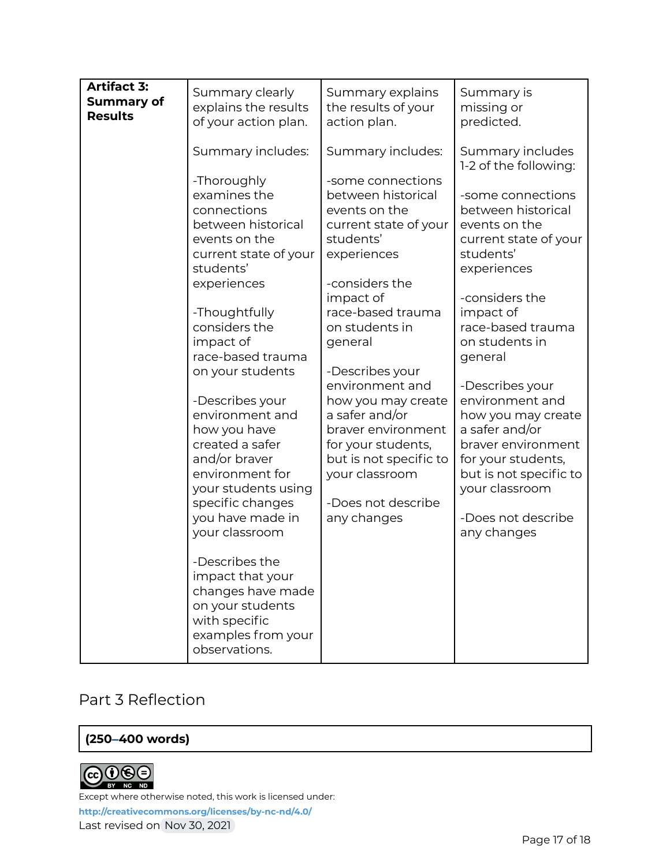| <b>Artifact 3:</b><br><b>Summary of</b><br><b>Results</b> | Summary clearly<br>explains the results<br>of your action plan.                                                                                                                                                                                                                                                                                                    | Summary explains<br>the results of your<br>action plan.                                                                                                                                                                                                                                                                                                              | Summary is<br>missing or<br>predicted.                                                                                                                                                                                                                                                                                                                               |
|-----------------------------------------------------------|--------------------------------------------------------------------------------------------------------------------------------------------------------------------------------------------------------------------------------------------------------------------------------------------------------------------------------------------------------------------|----------------------------------------------------------------------------------------------------------------------------------------------------------------------------------------------------------------------------------------------------------------------------------------------------------------------------------------------------------------------|----------------------------------------------------------------------------------------------------------------------------------------------------------------------------------------------------------------------------------------------------------------------------------------------------------------------------------------------------------------------|
|                                                           | Summary includes:                                                                                                                                                                                                                                                                                                                                                  | Summary includes:                                                                                                                                                                                                                                                                                                                                                    | Summary includes<br>1-2 of the following:                                                                                                                                                                                                                                                                                                                            |
|                                                           | -Thoroughly<br>examines the<br>connections<br>between historical<br>events on the<br>current state of your<br>students'<br>experiences<br>-Thoughtfully<br>considers the<br>impact of<br>race-based trauma<br>on your students<br>-Describes your<br>environment and<br>how you have<br>created a safer<br>and/or braver<br>environment for<br>your students using | -some connections<br>between historical<br>events on the<br>current state of your<br>students'<br>experiences<br>-considers the<br>impact of<br>race-based trauma<br>on students in<br>general<br>-Describes your<br>environment and<br>how you may create<br>a safer and/or<br>braver environment<br>for your students,<br>but is not specific to<br>your classroom | -some connections<br>between historical<br>events on the<br>current state of your<br>students'<br>experiences<br>-considers the<br>impact of<br>race-based trauma<br>on students in<br>general<br>-Describes your<br>environment and<br>how you may create<br>a safer and/or<br>braver environment<br>for your students,<br>but is not specific to<br>your classroom |
|                                                           | specific changes<br>you have made in<br>your classroom                                                                                                                                                                                                                                                                                                             | -Does not describe<br>any changes                                                                                                                                                                                                                                                                                                                                    | -Does not describe<br>any changes                                                                                                                                                                                                                                                                                                                                    |
|                                                           | -Describes the<br>impact that your<br>changes have made<br>on your students<br>with specific<br>examples from your<br>observations.                                                                                                                                                                                                                                |                                                                                                                                                                                                                                                                                                                                                                      |                                                                                                                                                                                                                                                                                                                                                                      |

# Part 3 Reflection

#### **(250–400 words)**